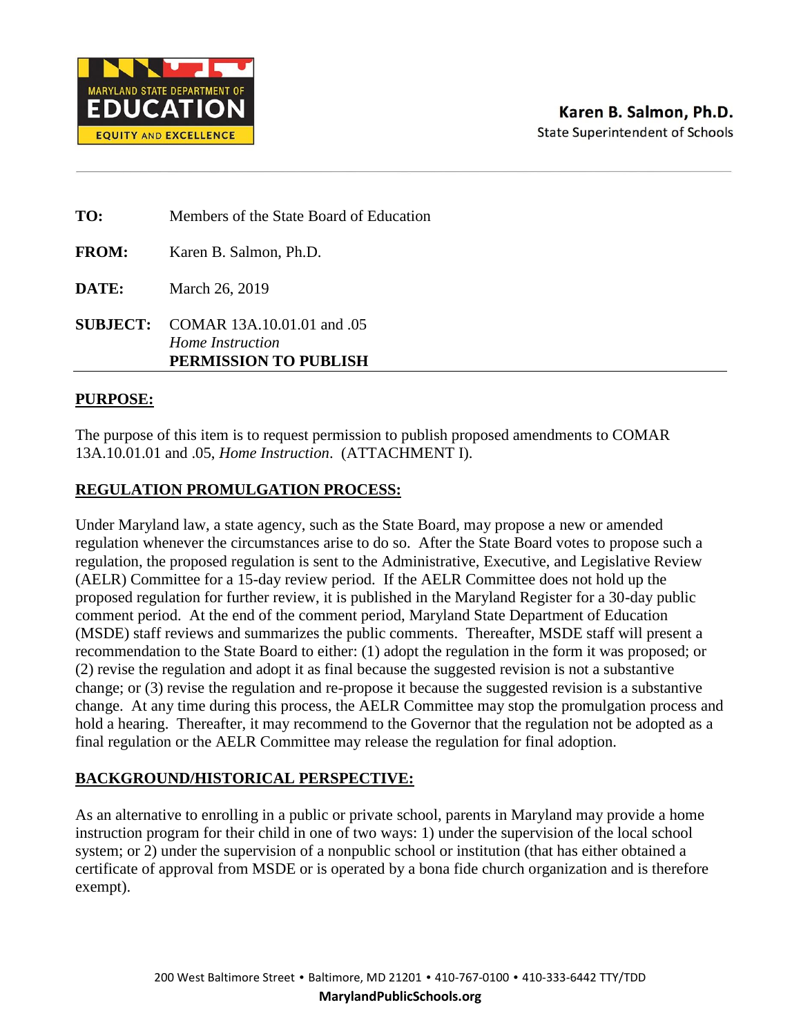

| TO:          | Members of the State Board of Education                                                 |
|--------------|-----------------------------------------------------------------------------------------|
| <b>FROM:</b> | Karen B. Salmon, Ph.D.                                                                  |
| DATE:        | March 26, 2019                                                                          |
|              | <b>SUBJECT:</b> COMAR 13A.10.01.01 and .05<br>Home Instruction<br>PERMISSION TO PUBLISH |

### **PURPOSE:**

The purpose of this item is to request permission to publish proposed amendments to COMAR 13A.10.01.01 and .05, *Home Instruction*. (ATTACHMENT I).

## **REGULATION PROMULGATION PROCESS:**

Under Maryland law, a state agency, such as the State Board, may propose a new or amended regulation whenever the circumstances arise to do so. After the State Board votes to propose such a regulation, the proposed regulation is sent to the Administrative, Executive, and Legislative Review (AELR) Committee for a 15-day review period. If the AELR Committee does not hold up the proposed regulation for further review, it is published in the Maryland Register for a 30-day public comment period. At the end of the comment period, Maryland State Department of Education (MSDE) staff reviews and summarizes the public comments. Thereafter, MSDE staff will present a recommendation to the State Board to either: (1) adopt the regulation in the form it was proposed; or (2) revise the regulation and adopt it as final because the suggested revision is not a substantive change; or (3) revise the regulation and re-propose it because the suggested revision is a substantive change. At any time during this process, the AELR Committee may stop the promulgation process and hold a hearing. Thereafter, it may recommend to the Governor that the regulation not be adopted as a final regulation or the AELR Committee may release the regulation for final adoption.

## **BACKGROUND/HISTORICAL PERSPECTIVE:**

As an alternative to enrolling in a public or private school, parents in Maryland may provide a home instruction program for their child in one of two ways: 1) under the supervision of the local school system; or 2) under the supervision of a nonpublic school or institution (that has either obtained a certificate of approval from MSDE or is operated by a bona fide church organization and is therefore exempt).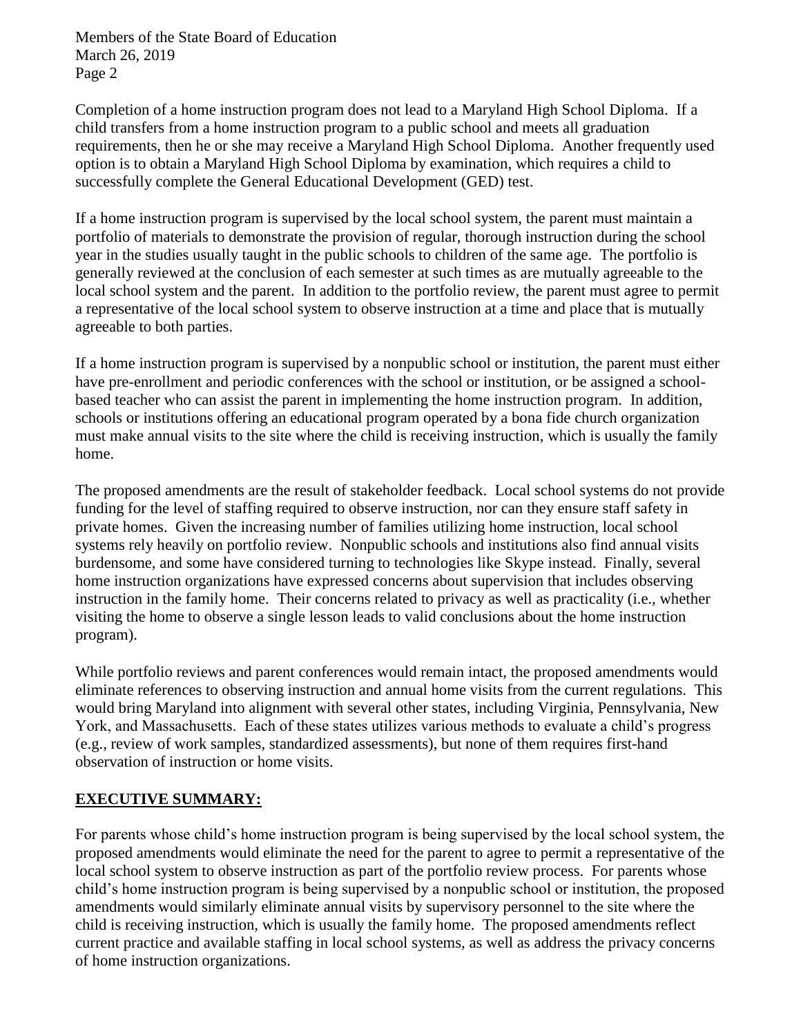Members of the State Board of Education March 26, 2019 Page 2

Completion of a home instruction program does not lead to a Maryland High School Diploma. If a child transfers from a home instruction program to a public school and meets all graduation requirements, then he or she may receive a Maryland High School Diploma. Another frequently used option is to obtain a Maryland High School Diploma by examination, which requires a child to successfully complete the General Educational Development (GED) test.

If a home instruction program is supervised by the local school system, the parent must maintain a portfolio of materials to demonstrate the provision of regular, thorough instruction during the school year in the studies usually taught in the public schools to children of the same age. The portfolio is generally reviewed at the conclusion of each semester at such times as are mutually agreeable to the local school system and the parent. In addition to the portfolio review, the parent must agree to permit a representative of the local school system to observe instruction at a time and place that is mutually agreeable to both parties.

If a home instruction program is supervised by a nonpublic school or institution, the parent must either have pre-enrollment and periodic conferences with the school or institution, or be assigned a schoolbased teacher who can assist the parent in implementing the home instruction program. In addition, schools or institutions offering an educational program operated by a bona fide church organization must make annual visits to the site where the child is receiving instruction, which is usually the family home.

The proposed amendments are the result of stakeholder feedback. Local school systems do not provide funding for the level of staffing required to observe instruction, nor can they ensure staff safety in private homes. Given the increasing number of families utilizing home instruction, local school systems rely heavily on portfolio review. Nonpublic schools and institutions also find annual visits burdensome, and some have considered turning to technologies like Skype instead. Finally, several home instruction organizations have expressed concerns about supervision that includes observing instruction in the family home. Their concerns related to privacy as well as practicality (i.e., whether visiting the home to observe a single lesson leads to valid conclusions about the home instruction program).

While portfolio reviews and parent conferences would remain intact, the proposed amendments would eliminate references to observing instruction and annual home visits from the current regulations. This would bring Maryland into alignment with several other states, including Virginia, Pennsylvania, New York, and Massachusetts. Each of these states utilizes various methods to evaluate a child's progress (e.g., review of work samples, standardized assessments), but none of them requires first-hand observation of instruction or home visits.

## **EXECUTIVE SUMMARY:**

For parents whose child's home instruction program is being supervised by the local school system, the proposed amendments would eliminate the need for the parent to agree to permit a representative of the local school system to observe instruction as part of the portfolio review process. For parents whose child's home instruction program is being supervised by a nonpublic school or institution, the proposed amendments would similarly eliminate annual visits by supervisory personnel to the site where the child is receiving instruction, which is usually the family home. The proposed amendments reflect current practice and available staffing in local school systems, as well as address the privacy concerns of home instruction organizations.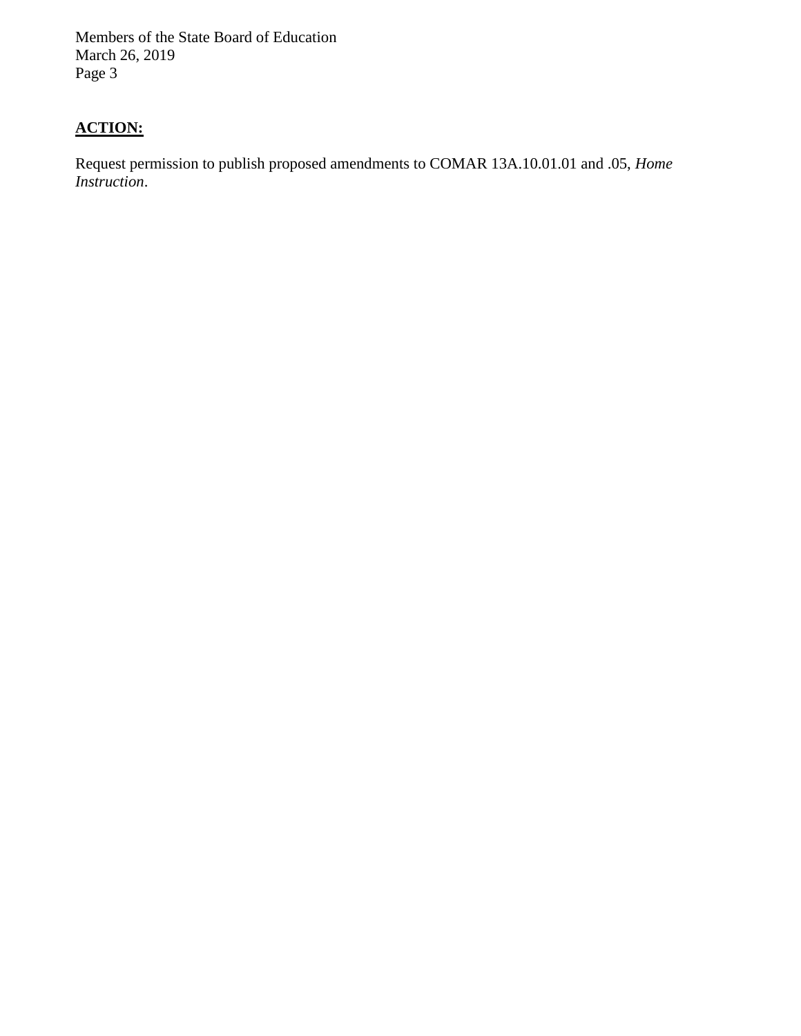Members of the State Board of Education March 26, 2019 Page 3

# **ACTION:**

Request permission to publish proposed amendments to COMAR 13A.10.01.01 and .05, *Home Instruction*.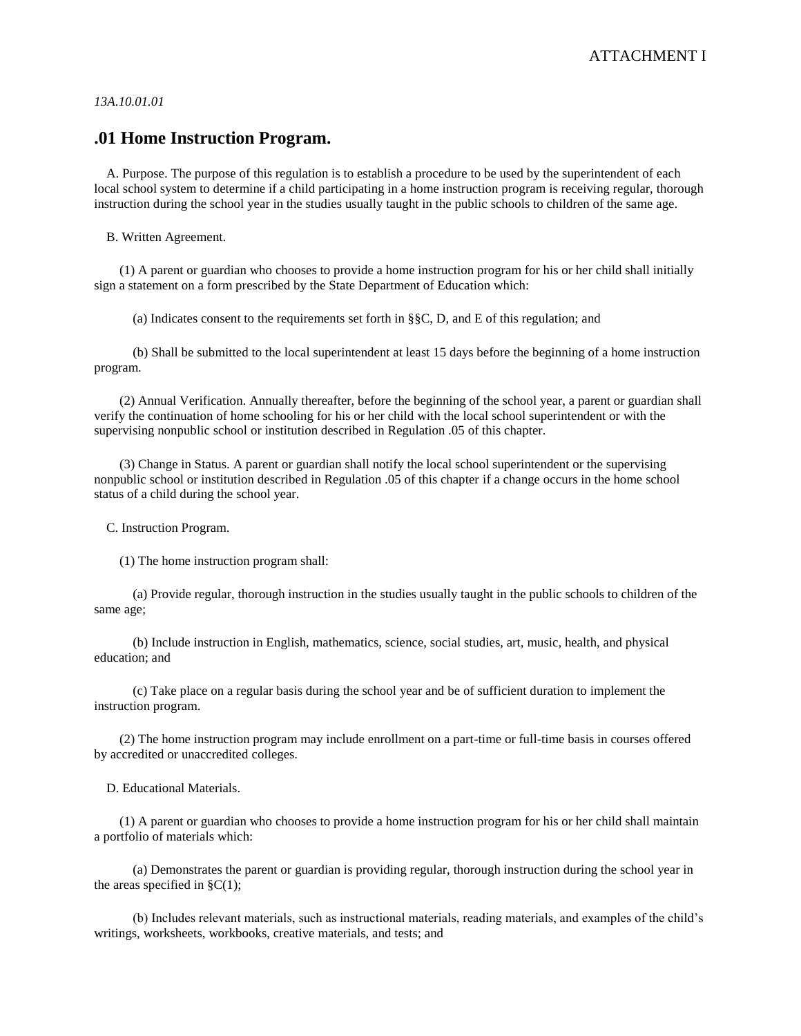*13A.10.01.01* 

### **.01 Home Instruction Program.**

A. Purpose. The purpose of this regulation is to establish a procedure to be used by the superintendent of each local school system to determine if a child participating in a home instruction program is receiving regular, thorough instruction during the school year in the studies usually taught in the public schools to children of the same age.

B. Written Agreement.

(1) A parent or guardian who chooses to provide a home instruction program for his or her child shall initially sign a statement on a form prescribed by the State Department of Education which:

(a) Indicates consent to the requirements set forth in §§C, D, and E of this regulation; and

(b) Shall be submitted to the local superintendent at least 15 days before the beginning of a home instruction program.

(2) Annual Verification. Annually thereafter, before the beginning of the school year, a parent or guardian shall verify the continuation of home schooling for his or her child with the local school superintendent or with the supervising nonpublic school or institution described in Regulation .05 of this chapter.

(3) Change in Status. A parent or guardian shall notify the local school superintendent or the supervising nonpublic school or institution described in Regulation .05 of this chapter if a change occurs in the home school status of a child during the school year.

C. Instruction Program.

(1) The home instruction program shall:

(a) Provide regular, thorough instruction in the studies usually taught in the public schools to children of the same age;

(b) Include instruction in English, mathematics, science, social studies, art, music, health, and physical education; and

(c) Take place on a regular basis during the school year and be of sufficient duration to implement the instruction program.

(2) The home instruction program may include enrollment on a part-time or full-time basis in courses offered by accredited or unaccredited colleges.

D. Educational Materials.

(1) A parent or guardian who chooses to provide a home instruction program for his or her child shall maintain a portfolio of materials which:

(a) Demonstrates the parent or guardian is providing regular, thorough instruction during the school year in the areas specified in  $\S C(1)$ ;

(b) Includes relevant materials, such as instructional materials, reading materials, and examples of the child's writings, worksheets, workbooks, creative materials, and tests; and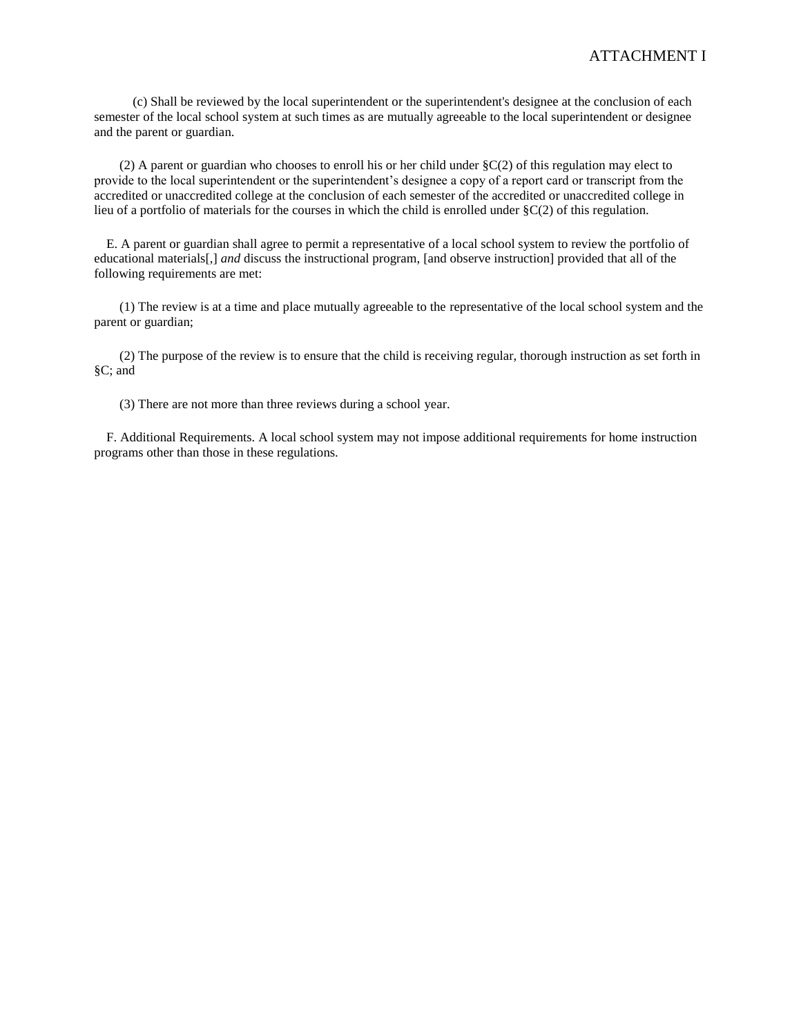(c) Shall be reviewed by the local superintendent or the superintendent's designee at the conclusion of each semester of the local school system at such times as are mutually agreeable to the local superintendent or designee and the parent or guardian.

(2) A parent or guardian who chooses to enroll his or her child under §C(2) of this regulation may elect to provide to the local superintendent or the superintendent's designee a copy of a report card or transcript from the accredited or unaccredited college at the conclusion of each semester of the accredited or unaccredited college in lieu of a portfolio of materials for the courses in which the child is enrolled under §C(2) of this regulation.

E. A parent or guardian shall agree to permit a representative of a local school system to review the portfolio of educational materials[,] *and* discuss the instructional program, [and observe instruction] provided that all of the following requirements are met:

(1) The review is at a time and place mutually agreeable to the representative of the local school system and the parent or guardian;

(2) The purpose of the review is to ensure that the child is receiving regular, thorough instruction as set forth in §C; and

(3) There are not more than three reviews during a school year.

F. Additional Requirements. A local school system may not impose additional requirements for home instruction programs other than those in these regulations.